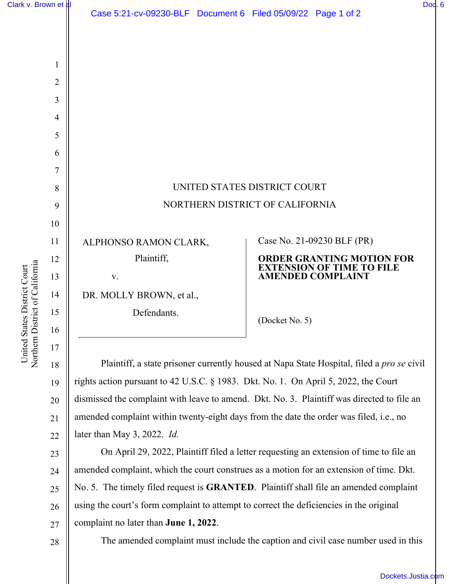| Clark v. Brown et al | Dod. 6 |  |
|----------------------|--------|--|
|----------------------|--------|--|

1

2

3

4

5

6

7

8

9

10

11

12

13

14

15

16

17

Northern District of California United States District Court United States District Court Northern District of Californi

| UNITED STATES DISTRICT COURT    |                                                              |  |
|---------------------------------|--------------------------------------------------------------|--|
| NORTHERN DISTRICT OF CALIFORNIA |                                                              |  |
|                                 |                                                              |  |
| ALPHONSO RAMON CLARK,           | Case No. 21-09230 BLF (PR)                                   |  |
| Plaintiff,                      | <b>ORDER GRANTING MOTION FOR</b>                             |  |
| V.                              | <b>EXTENSION OF TIME TO FILE</b><br><b>AMENDED COMPLAINT</b> |  |
| DR. MOLLY BROWN, et al.,        |                                                              |  |
| Defendants.                     | (Docket No. 5)                                               |  |

18 19 20 21 22 Plaintiff, a state prisoner currently housed at Napa State Hospital, filed a *pro se* civil rights action pursuant to 42 U.S.C. § 1983. Dkt. No. 1. On April 5, 2022, the Court dismissed the complaint with leave to amend. Dkt. No. 3. Plaintiff was directed to file an amended complaint within twenty-eight days from the date the order was filed, i.e., no later than May 3, 2022. *Id.*

23 24 25 26 27 On April 29, 2022, Plaintiff filed a letter requesting an extension of time to file an amended complaint, which the court construes as a motion for an extension of time. Dkt. No. 5. The timely filed request is **GRANTED**. Plaintiff shall file an amended complaint using the court's form complaint to attempt to correct the deficiencies in the original complaint no later than **June 1, 2022**.

28

The amended complaint must include the caption and civil case number used in this